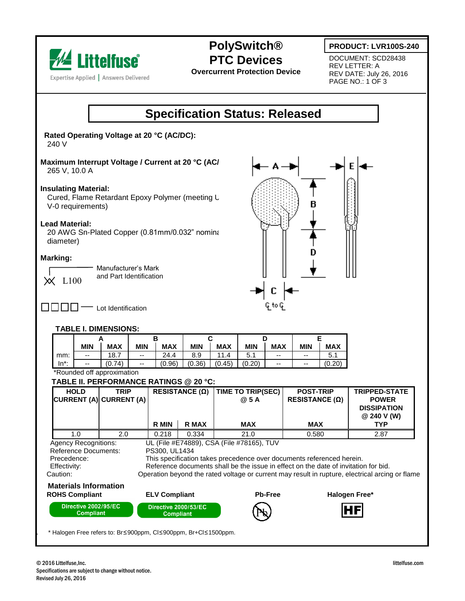

**PolySwitch® PTC Devices**

**Overcurrent Protection Device**

**PRODUCT: LVR100S-240**

DOCUMENT: SCD28438 REV LETTER: A REV DATE: July 26, 2016 PAGE NO.: 1 OF 3

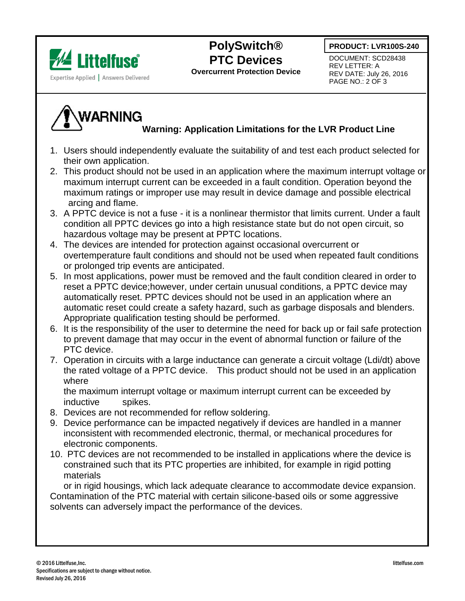



## **PolySwitch® PTC Devices**

**Overcurrent Protection Device**

DOCUMENT: SCD28438 REV LETTER: A REV DATE: July 26, 2016 PAGE NO.: 2 OF 3

# **WARNING**

### **Warning: Application Limitations for the LVR Product Line**

- 1. Users should independently evaluate the suitability of and test each product selected for their own application.
- 2. This product should not be used in an application where the maximum interrupt voltage or maximum interrupt current can be exceeded in a fault condition. Operation beyond the maximum ratings or improper use may result in device damage and possible electrical arcing and flame.
- 3. A PPTC device is not a fuse it is a nonlinear thermistor that limits current. Under a fault condition all PPTC devices go into a high resistance state but do not open circuit, so hazardous voltage may be present at PPTC locations.
- 4. The devices are intended for protection against occasional overcurrent or overtemperature fault conditions and should not be used when repeated fault conditions or prolonged trip events are anticipated.
- 5. In most applications, power must be removed and the fault condition cleared in order to reset a PPTC device;however, under certain unusual conditions, a PPTC device may automatically reset. PPTC devices should not be used in an application where an automatic reset could create a safety hazard, such as garbage disposals and blenders. Appropriate qualification testing should be performed.
- 6. It is the responsibility of the user to determine the need for back up or fail safe protection to prevent damage that may occur in the event of abnormal function or failure of the PTC device.
- 7. Operation in circuits with a large inductance can generate a circuit voltage (Ldi/dt) above the rated voltage of a PPTC device. This product should not be used in an application where

 the maximum interrupt voltage or maximum interrupt current can be exceeded by inductive spikes.

- 8. Devices are not recommended for reflow soldering.
- 9. Device performance can be impacted negatively if devices are handled in a manner inconsistent with recommended electronic, thermal, or mechanical procedures for electronic components.
- 10. PTC devices are not recommended to be installed in applications where the device is constrained such that its PTC properties are inhibited, for example in rigid potting materials

 or in rigid housings, which lack adequate clearance to accommodate device expansion. Contamination of the PTC material with certain silicone-based oils or some aggressive solvents can adversely impact the performance of the devices.